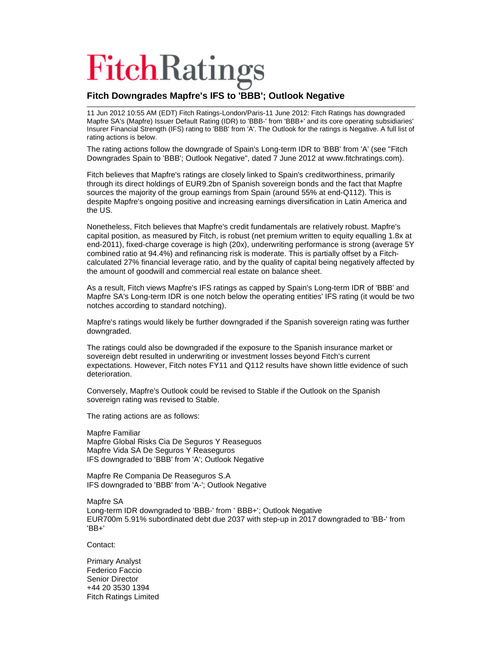## **FitchRatings**

## **Fitch Downgrades Mapfre's IFS to 'BBB'; Outlook Negative**

11 Jun 2012 10:55 AM (EDT) Fitch Ratings-London/Paris-11 June 2012: Fitch Ratings has downgraded Mapfre SA's (Mapfre) Issuer Default Rating (IDR) to 'BBB-' from 'BBB+' and its core operating subsidiaries' Insurer Financial Strength (IFS) rating to 'BBB' from 'A'. The Outlook for the ratings is Negative. A full list of rating actions is below.

The rating actions follow the downgrade of Spain's Long-term IDR to 'BBB' from 'A' (see "Fitch Downgrades Spain to 'BBB'; Outlook Negative", dated 7 June 2012 at www.fitchratings.com).

Fitch believes that Mapfre's ratings are closely linked to Spain's creditworthiness, primarily through its direct holdings of EUR9.2bn of Spanish sovereign bonds and the fact that Mapfre sources the majority of the group earnings from Spain (around 55% at end-Q112). This is despite Mapfre's ongoing positive and increasing earnings diversification in Latin America and the US.

Nonetheless, Fitch believes that Mapfre's credit fundamentals are relatively robust. Mapfre's capital position, as measured by Fitch, is robust (net premium written to equity equalling 1.8x at end-2011), fixed-charge coverage is high (20x), underwriting performance is strong (average 5Y combined ratio at 94.4%) and refinancing risk is moderate. This is partially offset by a Fitchcalculated 27% financial leverage ratio, and by the quality of capital being negatively affected by the amount of goodwill and commercial real estate on balance sheet.

As a result, Fitch views Mapfre's IFS ratings as capped by Spain's Long-term IDR of 'BBB' and Mapfre SA's Long-term IDR is one notch below the operating entities' IFS rating (it would be two notches according to standard notching).

Mapfre's ratings would likely be further downgraded if the Spanish sovereign rating was further downgraded.

The ratings could also be downgraded if the exposure to the Spanish insurance market or sovereign debt resulted in underwriting or investment losses beyond Fitch's current expectations. However, Fitch notes FY11 and Q112 results have shown little evidence of such deterioration.

Conversely, Mapfre's Outlook could be revised to Stable if the Outlook on the Spanish sovereign rating was revised to Stable.

The rating actions are as follows:

Mapfre Familiar Mapfre Global Risks Cia De Seguros Y Reaseguos Mapfre Vida SA De Seguros Y Reaseguros IFS downgraded to 'BBB' from 'A'; Outlook Negative

Mapfre Re Compania De Reaseguros S.A IFS downgraded to 'BBB' from 'A-'; Outlook Negative

Mapfre SA Long-term IDR downgraded to 'BBB-' from ' BBB+'; Outlook Negative EUR700m 5.91% subordinated debt due 2037 with step-up in 2017 downgraded to 'BB-' from 'BB+'

Contact:

Primary Analyst Federico Faccio Senior Director +44 20 3530 1394 Fitch Ratings Limited